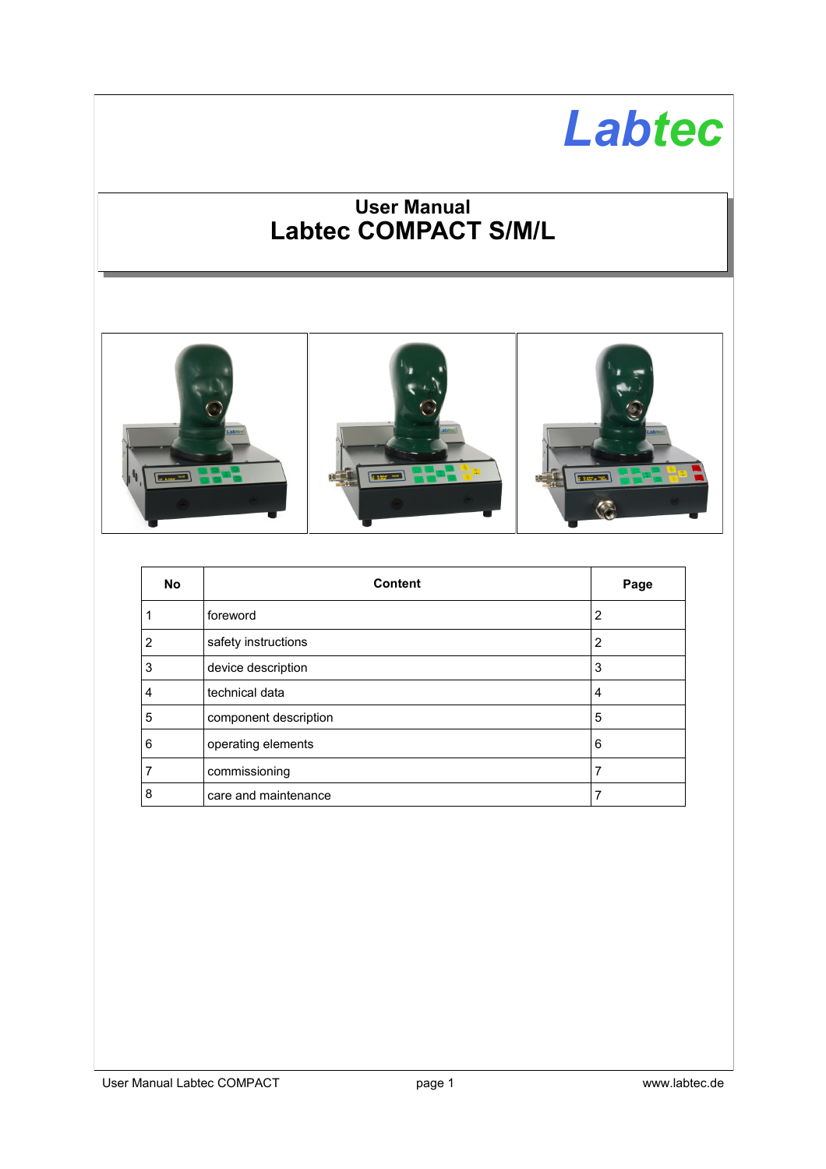# *Labtec*

# **User Manual Labtec COMPACT S/M/L**



| <b>No</b>      | <b>Content</b>        | Page |
|----------------|-----------------------|------|
| 1              | foreword              | 2    |
| 2              | safety instructions   | 2    |
| 3              | device description    | 3    |
| $\overline{4}$ | technical data        | 4    |
| 5              | component description | 5    |
| 6              | operating elements    | 6    |
| 7              | commissioning         | 7    |
| 8              | care and maintenance  |      |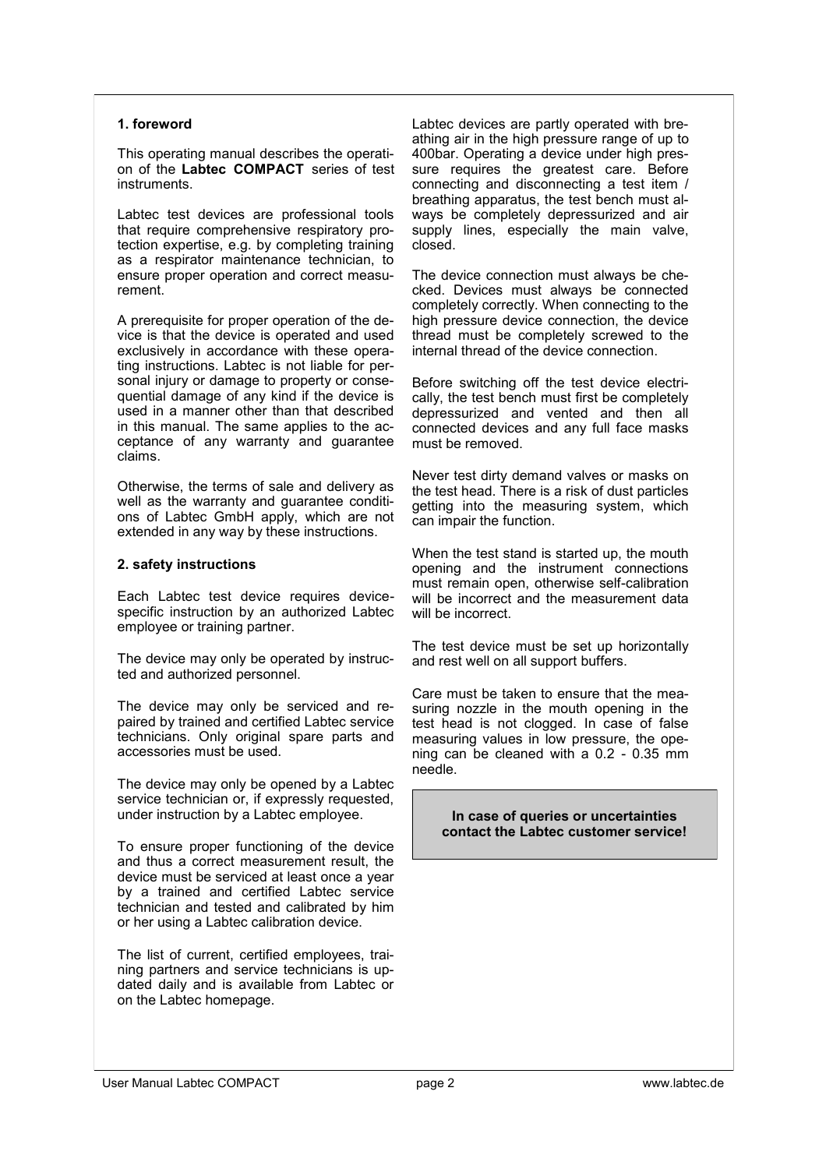#### **1. foreword**

This operating manual describes the operation of the **Labtec COMPACT** series of test instruments.

Labtec test devices are professional tools that require comprehensive respiratory protection expertise, e.g. by completing training as a respirator maintenance technician, to ensure proper operation and correct measurement.

A prerequisite for proper operation of the device is that the device is operated and used exclusively in accordance with these operating instructions. Labtec is not liable for personal injury or damage to property or consequential damage of any kind if the device is used in a manner other than that described in this manual. The same applies to the acceptance of any warranty and quarantee claims.

Otherwise, the terms of sale and delivery as well as the warranty and guarantee conditions of Labtec GmbH apply, which are not extended in any way by these instructions.

#### **2. safety instructions**

Each Labtec test device requires devicespecific instruction by an authorized Labtec employee or training partner.

The device may only be operated by instructed and authorized personnel.

The device may only be serviced and repaired by trained and certified Labtec service technicians. Only original spare parts and accessories must be used.

The device may only be opened by a Labtec service technician or, if expressly requested. under instruction by a Labtec employee.

To ensure proper functioning of the device and thus a correct measurement result, the device must be serviced at least once a year by a trained and certified Labtec service technician and tested and calibrated by him or her using a Labtec calibration device.

The list of current, certified employees, training partners and service technicians is updated daily and is available from Labtec or on the Labtec homepage.

Labtec devices are partly operated with breathing air in the high pressure range of up to 400bar. Operating a device under high pressure requires the greatest care. Before connecting and disconnecting a test item / breathing apparatus, the test bench must always be completely depressurized and air supply lines, especially the main valve, closed.

The device connection must always be checked. Devices must always be connected completely correctly. When connecting to the high pressure device connection, the device thread must be completely screwed to the internal thread of the device connection.

Before switching off the test device electrically, the test bench must first be completely depressurized and vented and then all connected devices and any full face masks must be removed.

Never test dirty demand valves or masks on the test head. There is a risk of dust particles getting into the measuring system, which can impair the function.

When the test stand is started up, the mouth opening and the instrument connections must remain open, otherwise self-calibration will be incorrect and the measurement data will be incorrect.

The test device must be set up horizontally and rest well on all support buffers.

Care must be taken to ensure that the measuring nozzle in the mouth opening in the test head is not clogged. In case of false measuring values in low pressure, the opening can be cleaned with a 0.2 - 0.35 mm needle.

> **In case of queries or uncertainties contact the Labtec customer service!**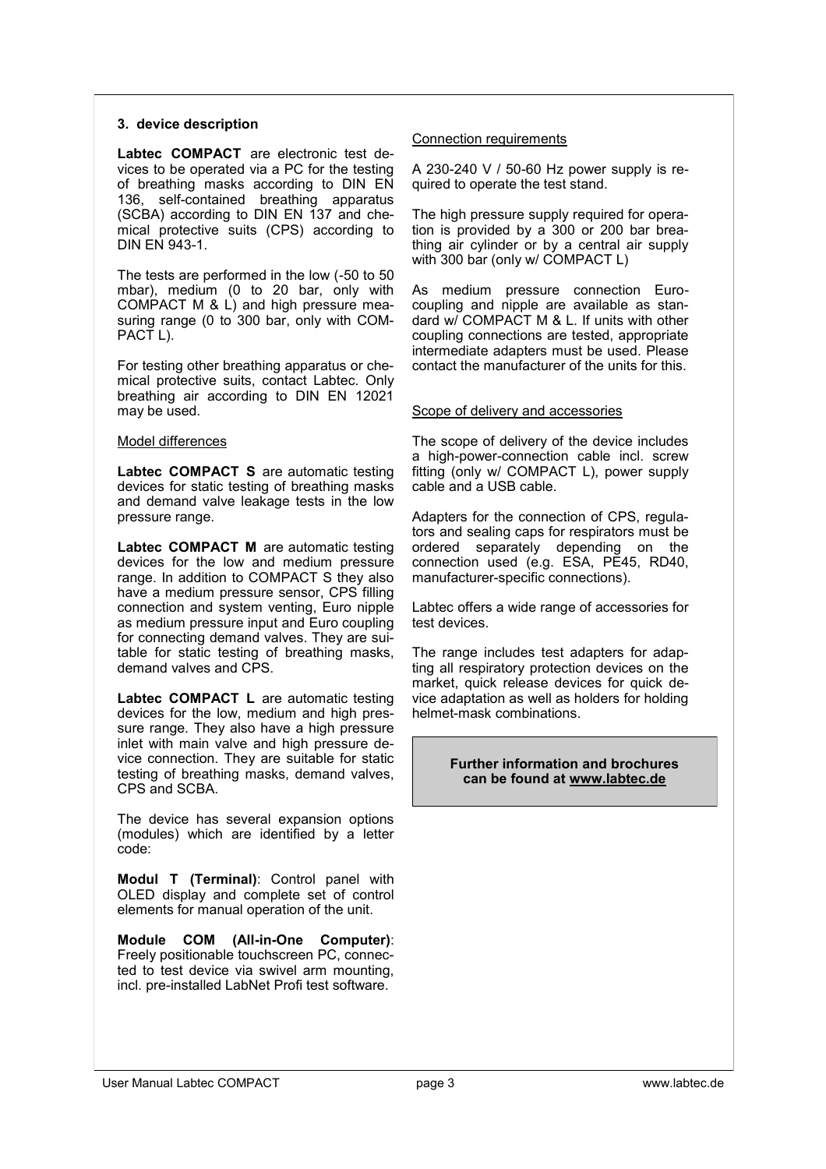#### **3. device description**

**Labtec COMPACT** are electronic test devices to be operated via a PC for the testing of breathing masks according to DIN EN 136, self-contained breathing apparatus (SCBA) according to DIN EN 137 and chemical protective suits (CPS) according to DIN EN 943-1.

The tests are performed in the low (-50 to 50 mbar), medium (0 to 20 bar, only with COMPACT M & L) and high pressure measuring range (0 to 300 bar, only with COM-PACT<sub>L</sub>).

For testing other breathing apparatus or chemical protective suits, contact Labtec. Only breathing air according to DIN EN 12021 may be used.

#### Model differences

Labtec COMPACT S are automatic testing devices for static testing of breathing masks and demand valve leakage tests in the low pressure range.

Labtec COMPACT M are automatic testing devices for the low and medium pressure range. In addition to COMPACT S they also have a medium pressure sensor, CPS filling connection and system venting, Euro nipple as medium pressure input and Euro coupling for connecting demand valves. They are suitable for static testing of breathing masks, demand valves and CPS.

Labtec COMPACT L are automatic testing devices for the low, medium and high pressure range. They also have a high pressure inlet with main valve and high pressure device connection. They are suitable for static testing of breathing masks, demand valves, CPS and SCBA.

The device has several expansion options (modules) which are identified by a letter code:

**Modul T (Terminal)**: Control panel with OLED display and complete set of control elements for manual operation of the unit.

**Module COM (All-in-One Computer)**: Freely positionable touchscreen PC, connected to test device via swivel arm mounting, incl. pre-installed LabNet Profi test software.

#### Connection requirements

A 230-240 V / 50-60 Hz power supply is required to operate the test stand.

The high pressure supply required for operation is provided by a 300 or 200 bar breathing air cylinder or by a central air supply with 300 bar (only w/ COMPACT L)

As medium pressure connection Eurocoupling and nipple are available as standard w/ COMPACT M & L. If units with other coupling connections are tested, appropriate intermediate adapters must be used. Please contact the manufacturer of the units for this.

#### Scope of delivery and accessories

The scope of delivery of the device includes a high-power-connection cable incl. screw fitting (only w/ COMPACT L), power supply cable and a USB cable.

Adapters for the connection of CPS, regulators and sealing caps for respirators must be ordered separately depending on the connection used (e.g. ESA, PE45, RD40, manufacturer-specific connections).

Labtec offers a wide range of accessories for test devices.

The range includes test adapters for adapting all respiratory protection devices on the market, quick release devices for quick device adaptation as well as holders for holding helmet-mask combinations.

#### **Further information and brochures can be found at www.labtec.de**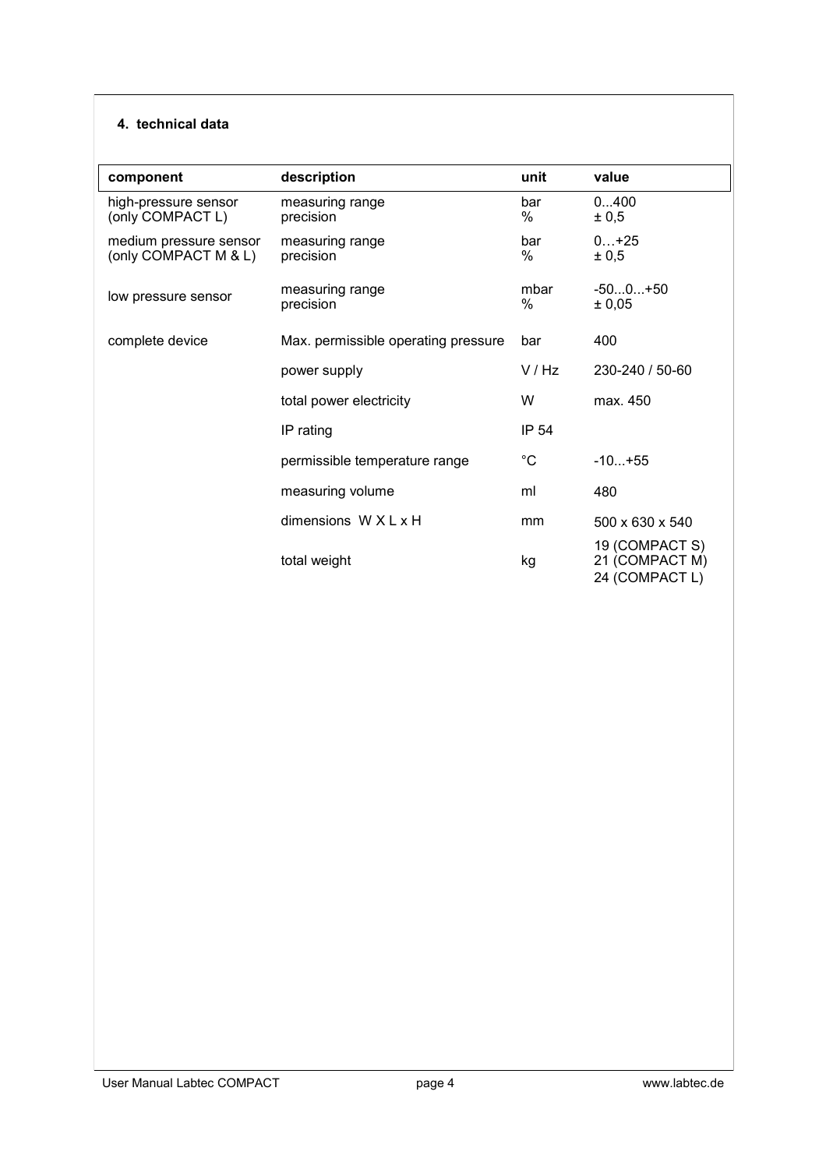#### **4. technical data**

| component                                      | description                         | unit         | value                                              |
|------------------------------------------------|-------------------------------------|--------------|----------------------------------------------------|
| high-pressure sensor<br>(only COMPACT L)       | measuring range<br>precision        | bar<br>%     | 0400<br>± 0,5                                      |
| medium pressure sensor<br>(only COMPACT M & L) | measuring range<br>precision        | bar<br>%     | $0+25$<br>± 0,5                                    |
| low pressure sensor                            | measuring range<br>precision        | mbar<br>$\%$ | $-500+50$<br>± 0,05                                |
| complete device                                | Max. permissible operating pressure | bar          | 400                                                |
|                                                | power supply                        | V/Hz         | 230-240 / 50-60                                    |
|                                                | total power electricity             | W            | max. 450                                           |
|                                                | IP rating                           | <b>IP 54</b> |                                                    |
|                                                | permissible temperature range       | $^{\circ}C$  | $-10+55$                                           |
|                                                | measuring volume                    | ml           | 480                                                |
|                                                | dimensions $W X L X H$              | mm           | 500 x 630 x 540                                    |
|                                                | total weight                        | kg           | 19 (COMPACT S)<br>21 (COMPACT M)<br>24 (COMPACT L) |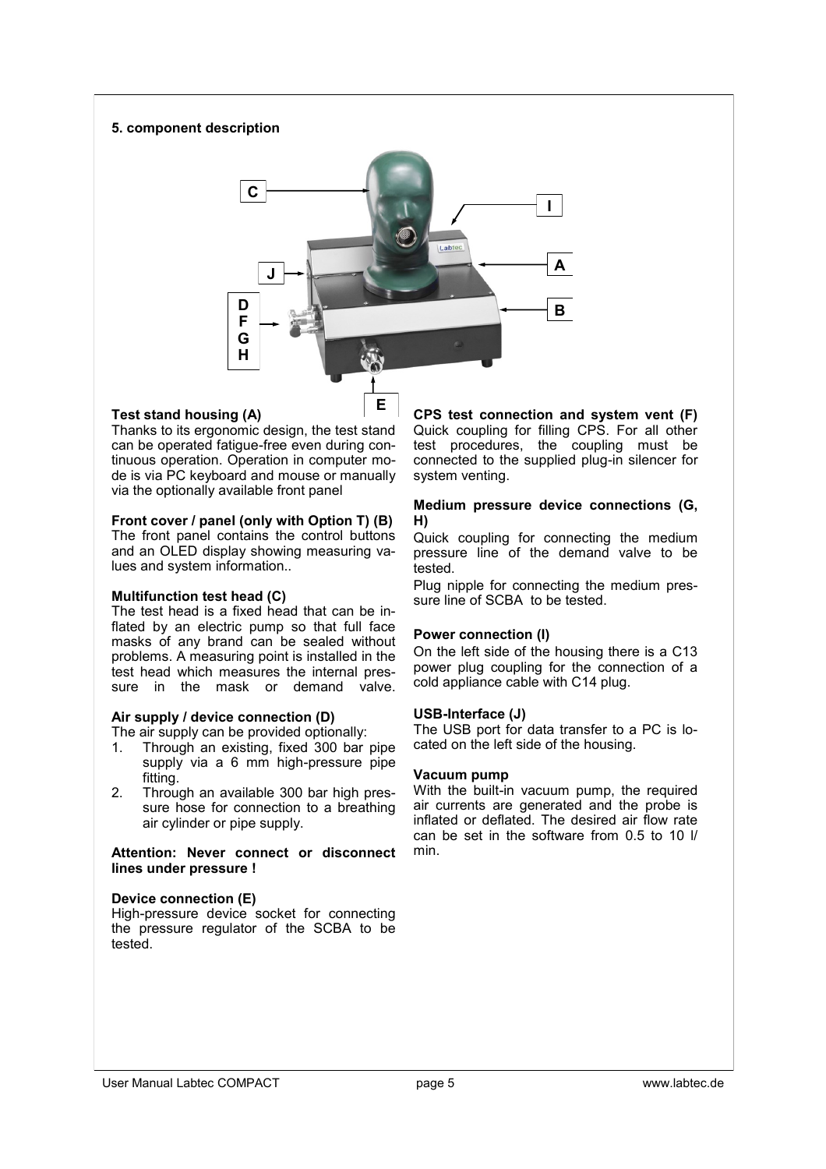#### **5. component description**



#### **Test stand housing (A)**

Thanks to its ergonomic design, the test stand can be operated fatigue-free even during continuous operation. Operation in computer mode is via PC keyboard and mouse or manually via the optionally available front panel

#### **Front cover / panel (only with Option T) (B)**

The front panel contains the control buttons and an OLED display showing measuring values and system information..

#### **Multifunction test head (C)**

The test head is a fixed head that can be inflated by an electric pump so that full face masks of any brand can be sealed without problems. A measuring point is installed in the test head which measures the internal pressure in the mask or demand valve.

#### **Air supply / device connection (D)**

The air supply can be provided optionally:

- 1. Through an existing, fixed 300 bar pipe supply via a 6 mm high-pressure pipe fitting.
- 2. Through an available 300 bar high pressure hose for connection to a breathing air cylinder or pipe supply.

**Attention: Never connect or disconnect lines under pressure !**

#### **Device connection (E)**

High-pressure device socket for connecting the pressure regulator of the SCBA to be tested.

**CPS test connection and system vent (F)** Quick coupling for filling CPS. For all other test procedures, the coupling must be connected to the supplied plug-in silencer for system venting.

#### **Medium pressure device connections (G, H)**

Quick coupling for connecting the medium pressure line of the demand valve to be tested.

Plug nipple for connecting the medium pressure line of SCBA to be tested.

#### **Power connection (I)**

On the left side of the housing there is a C13 power plug coupling for the connection of a cold appliance cable with C14 plug.

#### **USB-Interface (J)**

The USB port for data transfer to a PC is located on the left side of the housing.

#### **Vacuum pump**

With the built-in vacuum pump, the required air currents are generated and the probe is inflated or deflated. The desired air flow rate can be set in the software from 0.5 to 10 l/ min.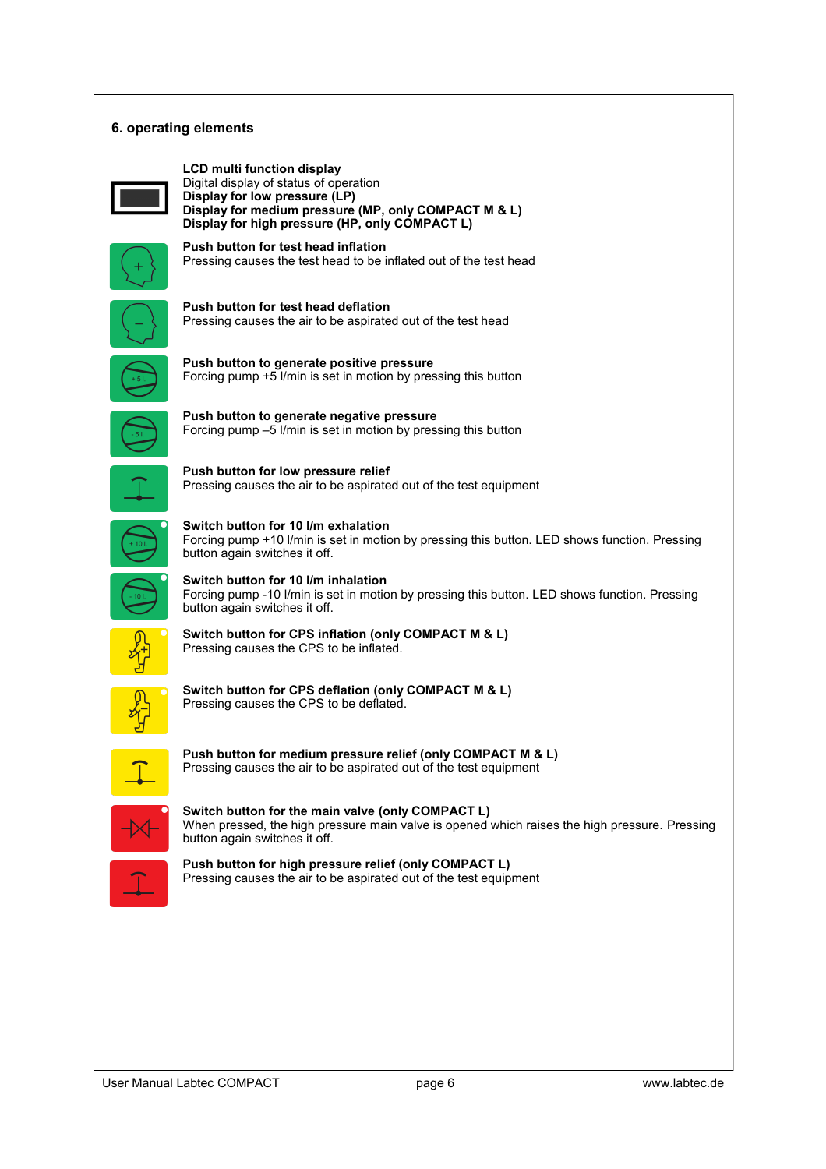#### **6. operating elements**

**LCD multi function display** Digital display of status of operation **Display for low pressure (LP) Display for medium pressure (MP, only COMPACT M & L) Display for high pressure (HP, only COMPACT L)**



**Push button for test head inflation** Pressing causes the test head to be inflated out of the test head

**Push button for test head deflation**  Pressing causes the air to be aspirated out of the test head



**Push button to generate positive pressure** Forcing pump +5 l/min is set in motion by pressing this button



**Push button to generate negative pressure** Forcing pump –5 l/min is set in motion by pressing this button

Pressing causes the air to be aspirated out of the test equipment

**Push button for low pressure relief**



**Switch button for 10 l/m exhalation**

Forcing pump +10 l/min is set in motion by pressing this button. LED shows function. Pressing button again switches it off.



**Switch button for 10 l/m inhalation** Forcing pump -10 l/min is set in motion by pressing this button. LED shows function. Pressing button again switches it off.



**Switch button for CPS inflation (only COMPACT M & L)** Pressing causes the CPS to be inflated.

**Switch button for CPS deflation (only COMPACT M & L)**  Pressing causes the CPS to be deflated.



**Push button for medium pressure relief (only COMPACT M & L)** Pressing causes the air to be aspirated out of the test equipment

**Switch button for the main valve (only COMPACT L)** When pressed, the high pressure main valve is opened which raises the high pressure. Pressing button again switches it off.

**Push button for high pressure relief (only COMPACT L)** Pressing causes the air to be aspirated out of the test equipment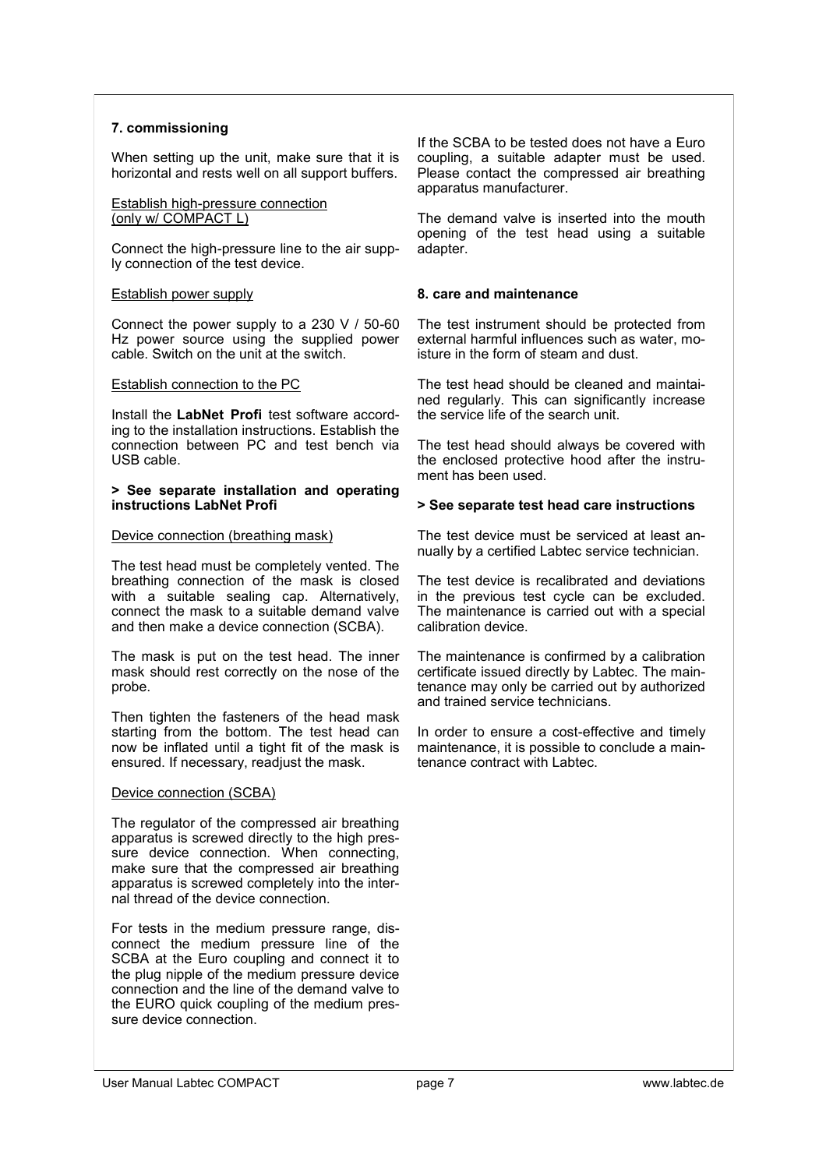#### **7. commissioning**

When setting up the unit, make sure that it is horizontal and rests well on all support buffers.

#### Establish high-pressure connection (only w/ COMPACT L)

Connect the high-pressure line to the air supply connection of the test device.

#### Establish power supply

Connect the power supply to a 230 V / 50-60 Hz power source using the supplied power cable. Switch on the unit at the switch.

#### Establish connection to the PC

Install the **LabNet Profi** test software according to the installation instructions. Establish the connection between PC and test bench via USB cable.

#### **> See separate installation and operating instructions LabNet Profi**

#### Device connection (breathing mask)

The test head must be completely vented. The breathing connection of the mask is closed with a suitable sealing cap. Alternatively, connect the mask to a suitable demand valve and then make a device connection (SCBA).

The mask is put on the test head. The inner mask should rest correctly on the nose of the probe.

Then tighten the fasteners of the head mask starting from the bottom. The test head can now be inflated until a tight fit of the mask is ensured. If necessary, readjust the mask.

#### Device connection (SCBA)

The regulator of the compressed air breathing apparatus is screwed directly to the high pressure device connection. When connecting, make sure that the compressed air breathing apparatus is screwed completely into the internal thread of the device connection.

For tests in the medium pressure range, disconnect the medium pressure line of the SCBA at the Euro coupling and connect it to the plug nipple of the medium pressure device connection and the line of the demand valve to the EURO quick coupling of the medium pressure device connection.

If the SCBA to be tested does not have a Euro coupling, a suitable adapter must be used. Please contact the compressed air breathing apparatus manufacturer.

The demand valve is inserted into the mouth opening of the test head using a suitable adapter.

#### **8. care and maintenance**

The test instrument should be protected from external harmful influences such as water, moisture in the form of steam and dust.

The test head should be cleaned and maintained regularly. This can significantly increase the service life of the search unit.

The test head should always be covered with the enclosed protective hood after the instrument has been used.

#### **> See separate test head care instructions**

The test device must be serviced at least annually by a certified Labtec service technician.

The test device is recalibrated and deviations in the previous test cycle can be excluded. The maintenance is carried out with a special calibration device.

The maintenance is confirmed by a calibration certificate issued directly by Labtec. The maintenance may only be carried out by authorized and trained service technicians.

In order to ensure a cost-effective and timely maintenance, it is possible to conclude a maintenance contract with Labtec.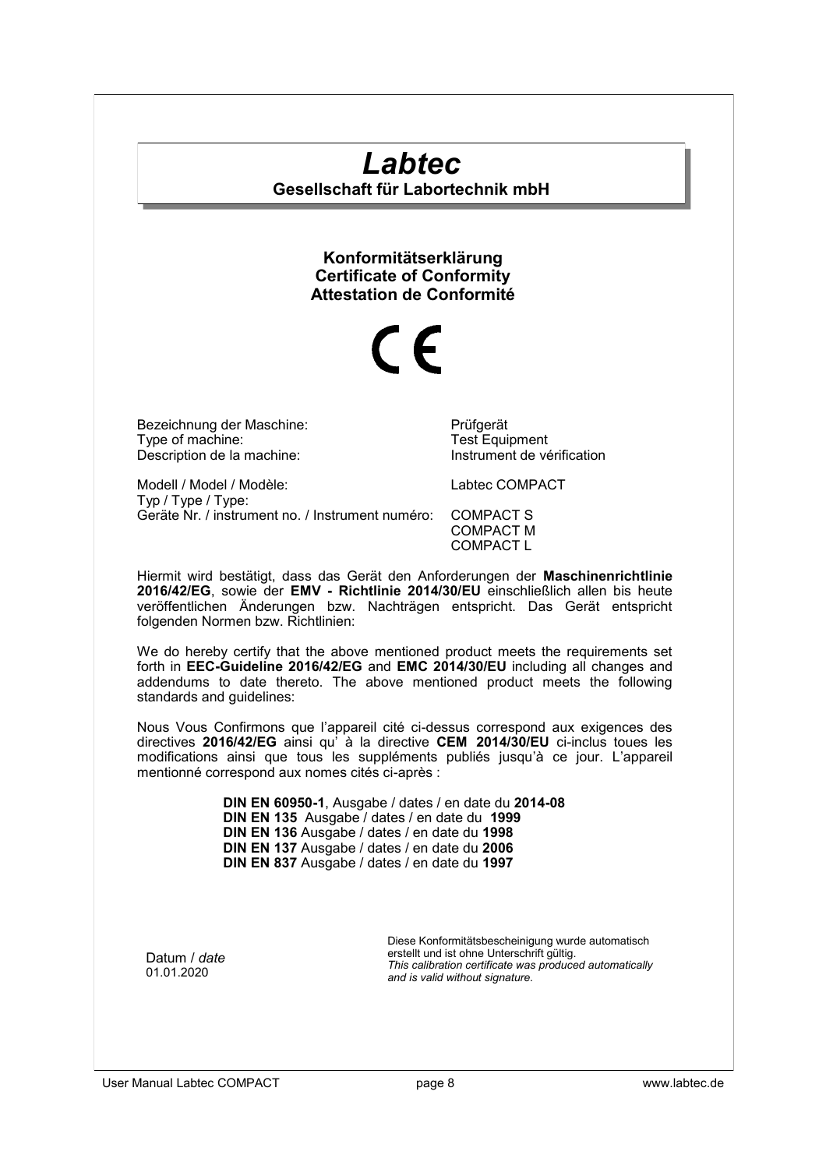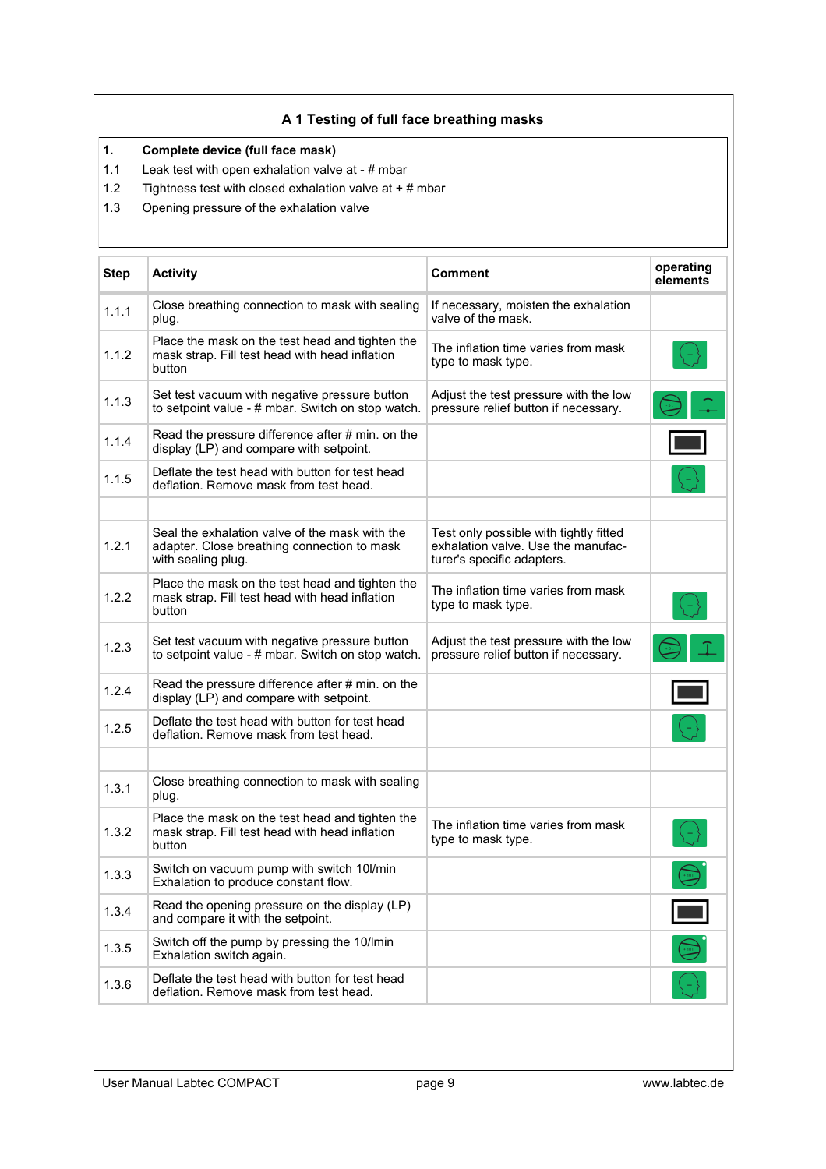#### **A 1 Testing of full face breathing masks**

#### **1. Complete device (full face mask)**

- 1.1 Leak test with open exhalation valve at # mbar
- 1.2 Tightness test with closed exhalation valve at + # mbar
- 1.3 Opening pressure of the exhalation valve

| <b>Step</b> | <b>Activity</b>                                                                                                     | <b>Comment</b>                                                                                             | operating<br>elements |
|-------------|---------------------------------------------------------------------------------------------------------------------|------------------------------------------------------------------------------------------------------------|-----------------------|
| 1.1.1       | Close breathing connection to mask with sealing<br>plug.                                                            | If necessary, moisten the exhalation<br>valve of the mask.                                                 |                       |
| 1.1.2       | Place the mask on the test head and tighten the<br>mask strap. Fill test head with head inflation<br>button         | The inflation time varies from mask<br>type to mask type.                                                  |                       |
| 1.1.3       | Set test vacuum with negative pressure button<br>to setpoint value - # mbar. Switch on stop watch.                  | Adjust the test pressure with the low<br>pressure relief button if necessary.                              |                       |
| 1.1.4       | Read the pressure difference after # min. on the<br>display (LP) and compare with setpoint.                         |                                                                                                            |                       |
| 1.1.5       | Deflate the test head with button for test head<br>deflation. Remove mask from test head.                           |                                                                                                            |                       |
|             |                                                                                                                     |                                                                                                            |                       |
| 1.2.1       | Seal the exhalation valve of the mask with the<br>adapter. Close breathing connection to mask<br>with sealing plug. | Test only possible with tightly fitted<br>exhalation valve. Use the manufac-<br>turer's specific adapters. |                       |
| 1.2.2       | Place the mask on the test head and tighten the<br>mask strap. Fill test head with head inflation<br>button         | The inflation time varies from mask<br>type to mask type.                                                  |                       |
| 1.2.3       | Set test vacuum with negative pressure button<br>to setpoint value - # mbar. Switch on stop watch.                  | Adjust the test pressure with the low<br>pressure relief button if necessary.                              |                       |
| 1.2.4       | Read the pressure difference after # min. on the<br>display (LP) and compare with setpoint.                         |                                                                                                            |                       |
| 1.2.5       | Deflate the test head with button for test head<br>deflation. Remove mask from test head.                           |                                                                                                            |                       |
|             |                                                                                                                     |                                                                                                            |                       |
| 1.3.1       | Close breathing connection to mask with sealing<br>plug.                                                            |                                                                                                            |                       |
| 1.3.2       | Place the mask on the test head and tighten the<br>mask strap. Fill test head with head inflation<br>button         | The inflation time varies from mask<br>type to mask type.                                                  |                       |
| 1.3.3       | Switch on vacuum pump with switch 10l/min<br>Exhalation to produce constant flow.                                   |                                                                                                            |                       |
| 1.3.4       | Read the opening pressure on the display (LP)<br>and compare it with the setpoint.                                  |                                                                                                            |                       |
| 1.3.5       | Switch off the pump by pressing the 10/lmin<br>Exhalation switch again.                                             |                                                                                                            |                       |
| 1.3.6       | Deflate the test head with button for test head<br>deflation. Remove mask from test head.                           |                                                                                                            |                       |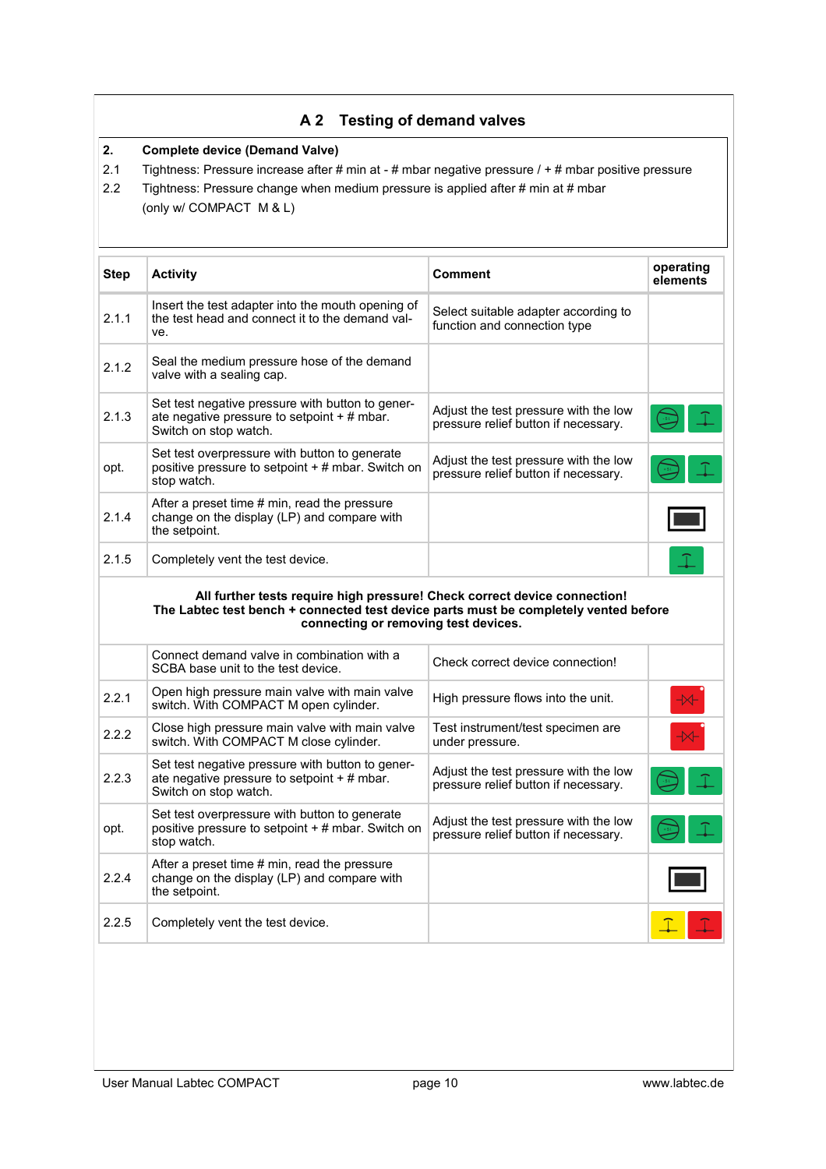### **A 2 Testing of demand valves**

#### **2. Complete device (Demand Valve)**

- 2.1 Tightness: Pressure increase after # min at # mbar negative pressure / + # mbar positive pressure
- 2.2 Tightness: Pressure change when medium pressure is applied after # min at # mbar (only w/ COMPACT M & L)

| Step  | <b>Activity</b>                                                                                                                                                                                           | Comment                                                                       | operating<br>elements |
|-------|-----------------------------------------------------------------------------------------------------------------------------------------------------------------------------------------------------------|-------------------------------------------------------------------------------|-----------------------|
| 2.1.1 | Insert the test adapter into the mouth opening of<br>the test head and connect it to the demand val-<br>ve.                                                                                               | Select suitable adapter according to<br>function and connection type          |                       |
| 2.1.2 | Seal the medium pressure hose of the demand<br>valve with a sealing cap.                                                                                                                                  |                                                                               |                       |
| 2.1.3 | Set test negative pressure with button to gener-<br>ate negative pressure to setpoint + # mbar.<br>Switch on stop watch.                                                                                  | Adjust the test pressure with the low<br>pressure relief button if necessary. |                       |
| opt.  | Set test overpressure with button to generate<br>positive pressure to setpoint + # mbar. Switch on<br>stop watch.                                                                                         | Adjust the test pressure with the low<br>pressure relief button if necessary. |                       |
| 2.1.4 | After a preset time # min, read the pressure<br>change on the display (LP) and compare with<br>the setpoint.                                                                                              |                                                                               |                       |
| 2.1.5 | Completely vent the test device.                                                                                                                                                                          |                                                                               |                       |
|       |                                                                                                                                                                                                           |                                                                               |                       |
|       | All further tests require high pressure! Check correct device connection!<br>The Labtec test bench + connected test device parts must be completely vented before<br>connecting or removing test devices. |                                                                               |                       |
|       | Connect demand valve in combination with a<br>SCBA base unit to the test device.                                                                                                                          | Check correct device connection!                                              |                       |
| 2.2.1 | Open high pressure main valve with main valve<br>switch. With COMPACT M open cylinder.                                                                                                                    | High pressure flows into the unit.                                            |                       |
| 2.2.2 | Close high pressure main valve with main valve<br>switch. With COMPACT M close cylinder.                                                                                                                  | Test instrument/test specimen are<br>under pressure.                          |                       |
| 2.2.3 | Set test negative pressure with button to gener-<br>ate negative pressure to setpoint $+$ # mbar.<br>Switch on stop watch.                                                                                | Adjust the test pressure with the low<br>pressure relief button if necessary. |                       |
| opt.  | Set test overpressure with button to generate<br>positive pressure to setpoint + # mbar. Switch on<br>stop watch.                                                                                         | Adjust the test pressure with the low<br>pressure relief button if necessary. |                       |
| 2.2.4 | After a preset time # min, read the pressure<br>change on the display (LP) and compare with<br>the setpoint.                                                                                              |                                                                               |                       |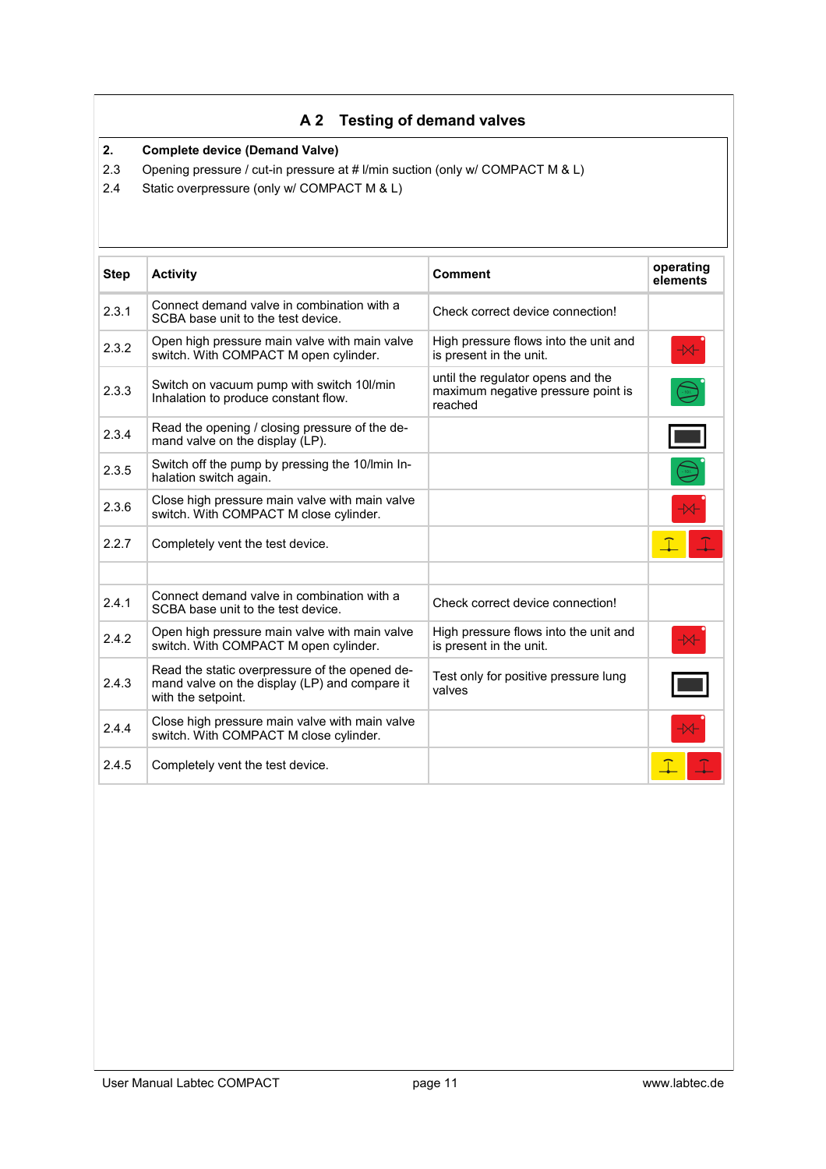## **A 2 Testing of demand valves**

**2. Complete device (Demand Valve)**

2.3 Opening pressure / cut-in pressure at # l/min suction (only w/ COMPACT M & L)

2.4 Static overpressure (only w/ COMPACT M & L)

| <b>Step</b> | <b>Activity</b>                                                                                                       | <b>Comment</b>                                                                     | operating<br>elements    |
|-------------|-----------------------------------------------------------------------------------------------------------------------|------------------------------------------------------------------------------------|--------------------------|
| 2.3.1       | Connect demand valve in combination with a<br>SCBA base unit to the test device.                                      | Check correct device connection!                                                   |                          |
| 2.3.2       | Open high pressure main valve with main valve<br>switch. With COMPACT M open cylinder.                                | High pressure flows into the unit and<br>is present in the unit.                   | $\overline{\mathcal{X}}$ |
| 2.3.3       | Switch on vacuum pump with switch 10l/min<br>Inhalation to produce constant flow.                                     | until the regulator opens and the<br>maximum negative pressure point is<br>reached | $\sum_{i=1}^{n}$         |
| 2.3.4       | Read the opening / closing pressure of the de-<br>mand valve on the display (LP).                                     |                                                                                    |                          |
| 2.3.5       | Switch off the pump by pressing the 10/lmin In-<br>halation switch again.                                             |                                                                                    | $\frac{1}{\sqrt{10}}$    |
| 2.3.6       | Close high pressure main valve with main valve<br>switch. With COMPACT M close cylinder.                              |                                                                                    |                          |
| 2.2.7       | Completely vent the test device.                                                                                      |                                                                                    |                          |
| 2.4.1       | Connect demand valve in combination with a<br>SCBA base unit to the test device.                                      | Check correct device connection!                                                   |                          |
| 2.4.2       | Open high pressure main valve with main valve<br>switch. With COMPACT M open cylinder.                                | High pressure flows into the unit and<br>is present in the unit.                   | $\rightarrow$            |
| 2.4.3       | Read the static overpressure of the opened de-<br>mand valve on the display (LP) and compare it<br>with the setpoint. | Test only for positive pressure lung<br>valves                                     |                          |
| 2.4.4       | Close high pressure main valve with main valve<br>switch. With COMPACT M close cylinder.                              |                                                                                    |                          |
| 2.4.5       | Completely vent the test device.                                                                                      |                                                                                    |                          |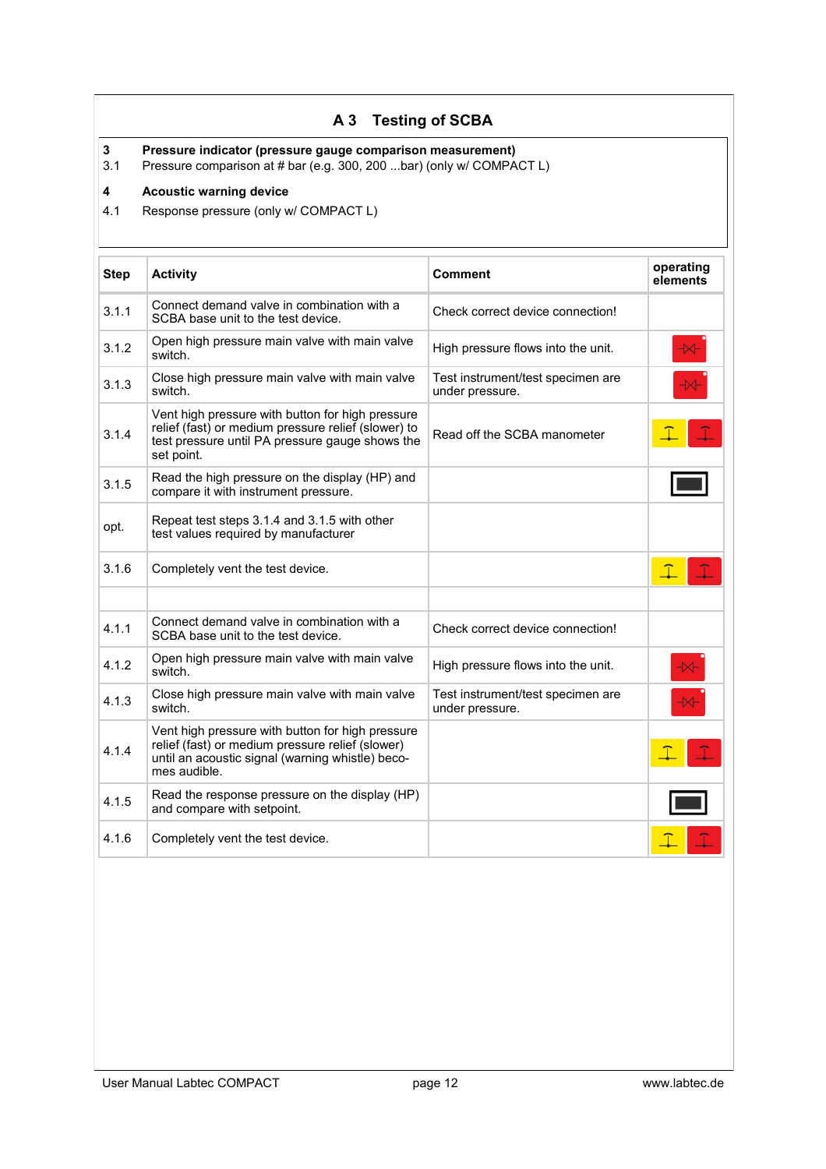## **A 3 Testing of SCBA**

**3 Pressure indicator (pressure gauge comparison measurement)**

Pressure comparison at # bar (e.g. 300, 200 ...bar) (only w/ COMPACT L)

#### **4 Acoustic warning device**

4.1 Response pressure (only w/ COMPACT L)

| <b>Step</b> | <b>Activity</b>                                                                                                                                                          | Comment                                              | operating<br>elements    |
|-------------|--------------------------------------------------------------------------------------------------------------------------------------------------------------------------|------------------------------------------------------|--------------------------|
| 3.1.1       | Connect demand valve in combination with a<br>SCBA base unit to the test device.                                                                                         | Check correct device connection!                     |                          |
| 3.1.2       | Open high pressure main valve with main valve<br>switch.                                                                                                                 | High pressure flows into the unit.                   | $\overline{\mathcal{X}}$ |
| 3.1.3       | Close high pressure main valve with main valve<br>switch.                                                                                                                | Test instrument/test specimen are<br>under pressure. |                          |
| 3.1.4       | Vent high pressure with button for high pressure<br>relief (fast) or medium pressure relief (slower) to<br>test pressure until PA pressure gauge shows the<br>set point. | Read off the SCBA manometer                          |                          |
| 3.1.5       | Read the high pressure on the display (HP) and<br>compare it with instrument pressure.                                                                                   |                                                      |                          |
| opt.        | Repeat test steps 3.1.4 and 3.1.5 with other<br>test values required by manufacturer                                                                                     |                                                      |                          |
| 3.1.6       | Completely vent the test device.                                                                                                                                         |                                                      |                          |
|             |                                                                                                                                                                          |                                                      |                          |
| 4.1.1       | Connect demand valve in combination with a<br>SCBA base unit to the test device.                                                                                         | Check correct device connection!                     |                          |
| 4.1.2       | Open high pressure main valve with main valve<br>switch.                                                                                                                 | High pressure flows into the unit.                   | $\overline{\mathbf{X}}$  |
| 4.1.3       | Close high pressure main valve with main valve<br>switch.                                                                                                                | Test instrument/test specimen are<br>under pressure. | $\overline{\mathcal{M}}$ |
| 4.1.4       | Vent high pressure with button for high pressure<br>relief (fast) or medium pressure relief (slower)<br>until an acoustic signal (warning whistle) beco-<br>mes audible. |                                                      |                          |
| 4.1.5       | Read the response pressure on the display (HP)<br>and compare with setpoint.                                                                                             |                                                      |                          |
| 4.1.6       | Completely vent the test device.                                                                                                                                         |                                                      |                          |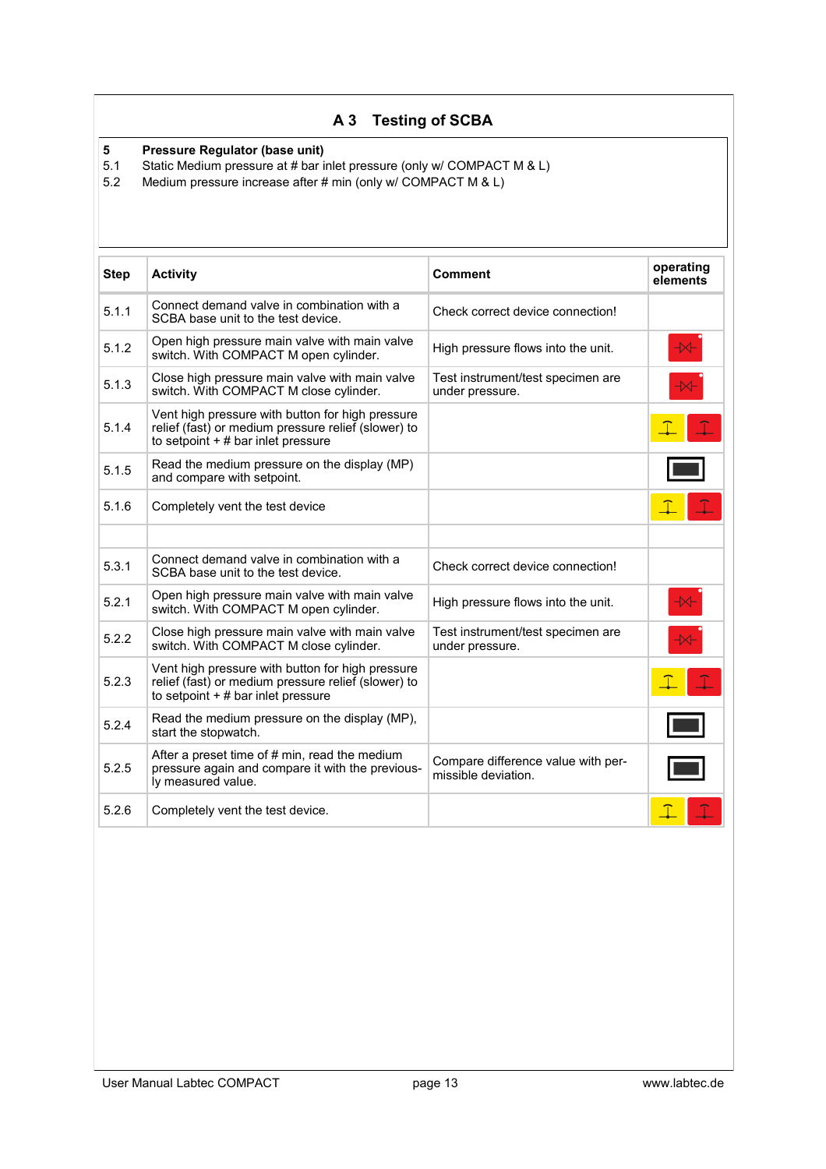## **A 3 Testing of SCBA**

# **5 Pressure Regulator (base unit)**<br>5.1 Static Medium pressure at # bar i

5.1 Static Medium pressure at # bar inlet pressure (only w/ COMPACT M & L)<br>5.2 Medium pressure increase after # min (only w/ COMPACT M & L)

Medium pressure increase after # min (only w/ COMPACT M & L)

| <b>Step</b> | <b>Activity</b>                                                                                                                                 | <b>Comment</b>                                            | operating<br>elements |
|-------------|-------------------------------------------------------------------------------------------------------------------------------------------------|-----------------------------------------------------------|-----------------------|
| 5.1.1       | Connect demand valve in combination with a<br>SCBA base unit to the test device.                                                                | Check correct device connection!                          |                       |
| 5.1.2       | Open high pressure main valve with main valve<br>switch. With COMPACT M open cylinder.                                                          | High pressure flows into the unit.                        | $\overline{+}$        |
| 5.1.3       | Close high pressure main valve with main valve<br>switch. With COMPACT M close cylinder.                                                        | Test instrument/test specimen are<br>under pressure.      | $\prec$               |
| 5.1.4       | Vent high pressure with button for high pressure<br>relief (fast) or medium pressure relief (slower) to<br>to setpoint $+$ # bar inlet pressure |                                                           |                       |
| 5.1.5       | Read the medium pressure on the display (MP)<br>and compare with setpoint.                                                                      |                                                           |                       |
| 5.1.6       | Completely vent the test device                                                                                                                 |                                                           |                       |
|             |                                                                                                                                                 |                                                           |                       |
| 5.3.1       | Connect demand valve in combination with a<br>SCBA base unit to the test device.                                                                | Check correct device connection!                          |                       |
| 5.2.1       | Open high pressure main valve with main valve<br>switch. With COMPACT M open cylinder.                                                          | High pressure flows into the unit.                        | $\overline{+}$        |
| 5.2.2       | Close high pressure main valve with main valve<br>switch. With COMPACT M close cylinder.                                                        | Test instrument/test specimen are<br>under pressure.      | $\prec$               |
| 5.2.3       | Vent high pressure with button for high pressure<br>relief (fast) or medium pressure relief (slower) to<br>to setpoint $+$ # bar inlet pressure |                                                           |                       |
| 5.2.4       | Read the medium pressure on the display (MP),<br>start the stopwatch.                                                                           |                                                           |                       |
| 5.2.5       | After a preset time of # min, read the medium<br>pressure again and compare it with the previous-<br>ly measured value.                         | Compare difference value with per-<br>missible deviation. |                       |
| 5.2.6       | Completely vent the test device.                                                                                                                |                                                           |                       |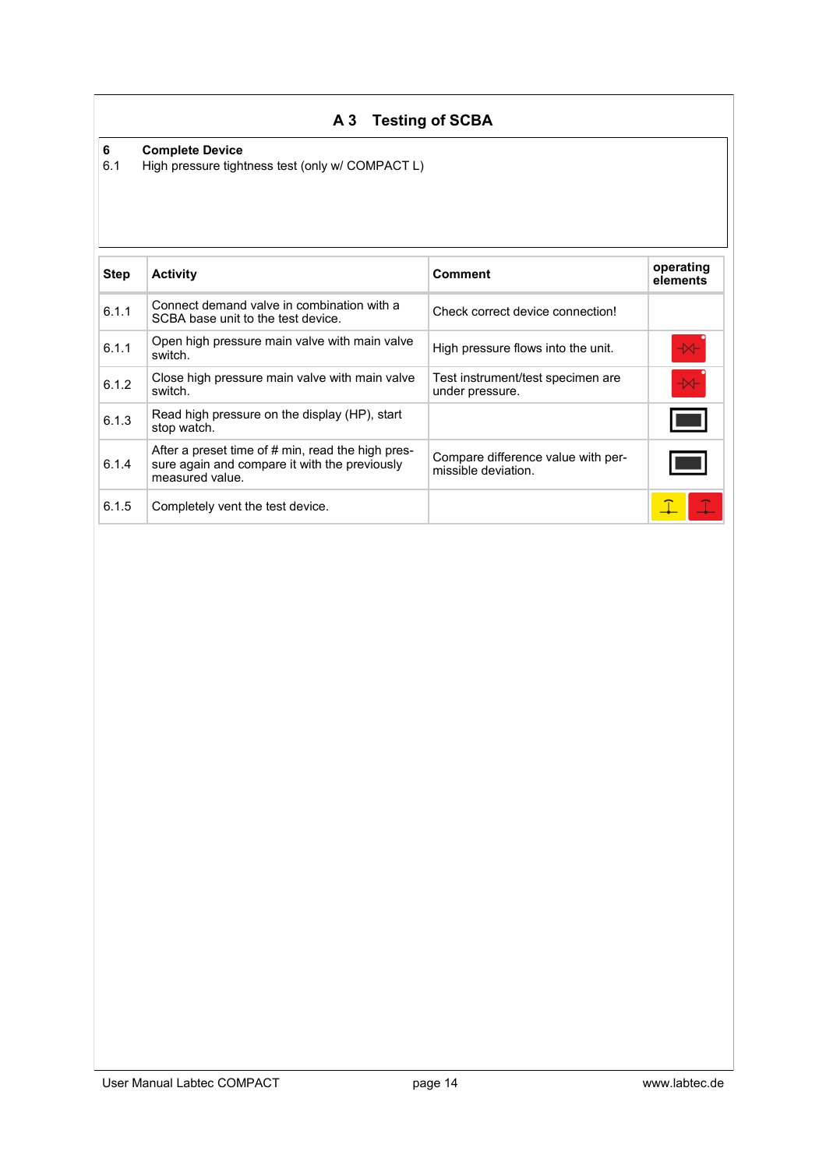## **A 3 Testing of SCBA**

# **6 Complete Device**

High pressure tightness test (only w/ COMPACT L)

| <b>Step</b> | <b>Activity</b>                                                                                                       | <b>Comment</b>                                            | operating<br>elements        |
|-------------|-----------------------------------------------------------------------------------------------------------------------|-----------------------------------------------------------|------------------------------|
| 6.1.1       | Connect demand valve in combination with a<br>SCBA base unit to the test device.                                      | Check correct device connection!                          |                              |
| 6.1.1       | Open high pressure main valve with main valve<br>switch.                                                              | High pressure flows into the unit.                        | $\rightarrow\hspace{-1.4mm}$ |
| 6.1.2       | Close high pressure main valve with main valve<br>switch.                                                             | Test instrument/test specimen are<br>under pressure.      | $\overline{\mathcal{H}}$     |
| 6.1.3       | Read high pressure on the display (HP), start<br>stop watch.                                                          |                                                           |                              |
| 6.1.4       | After a preset time of # min, read the high pres-<br>sure again and compare it with the previously<br>measured value. | Compare difference value with per-<br>missible deviation. |                              |
| 6.1.5       | Completely vent the test device.                                                                                      |                                                           |                              |